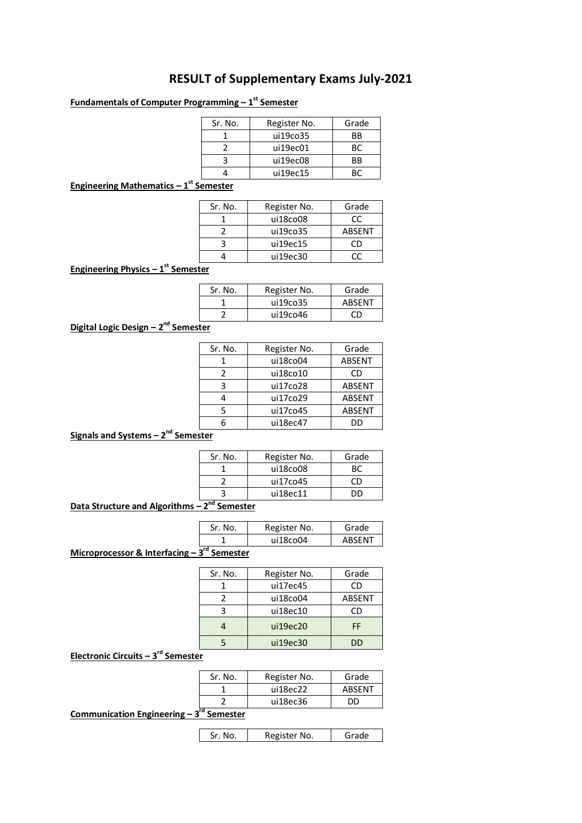# **RESULT of Supplementary Exams July-2021**

### **Fundamentals of Computer Programming – 1 st Semester**

| Sr. No. | Register No. | Grade     |
|---------|--------------|-----------|
|         | ui19co35     | ВB        |
|         | ui19ec01     | BC.       |
|         | ui19ec08     | <b>BB</b> |
|         | ui19ec15     |           |

### **Engineering Mathematics – 1 st Semester**

| Sr. No. | Register No. | Grade  |
|---------|--------------|--------|
|         | ui18co08     | CC.    |
|         | ui19co35     | ABSENT |
|         | ui19ec15     | OD     |
|         | ui19ec30     | rr     |
|         |              |        |

**Engineering Physics – 1 st Semester**

| Sr. No. | Register No. | Grade  |
|---------|--------------|--------|
|         | ui19co35     | ABSENT |
|         | ui19co46     | ΓŊ     |

# **Digital Logic Design – 2<sup>nd</sup> Semester**

| Sr. No. | Register No. | Grade         |
|---------|--------------|---------------|
|         | ui18co04     | <b>ABSENT</b> |
| 2       | ui18co10     | CD            |
| ς       | ui17co28     | <b>ABSENT</b> |
|         | ui17co29     | <b>ABSENT</b> |
| 5       | ui17co45     | ABSENT        |
| հ       | ui18ec47     | DD            |

# **Signals and Systems – 2 nd Semester**

| Sr. No. | Register No. | Grade |
|---------|--------------|-------|
|         | ui18co08     |       |
|         | ui17co45     |       |
|         | ui18ec11     | רור   |

### **Data Structure and Algorithms – 2 nd Semester**

| Sr. No. | Register No. | Grade  |
|---------|--------------|--------|
|         | ui18co04     | ABSENT |
|         |              |        |

# **Microprocessor & Interfacing – 3 rd Semester**

| Sr. No. | Register No. | Grade         |
|---------|--------------|---------------|
|         | ui17ec45     | ΓD            |
|         | ui18co04     | <b>ABSENT</b> |
|         | ui18ec10     | CD            |
|         | ui19ec20     | FF            |
|         | ui19ec30     | m             |

### **Electronic Circuits – 3 rd Semester**

| Sr. No. | Register No. | Grade  |
|---------|--------------|--------|
|         | ui18ec22     | ABSENT |
|         | ui18ec36     | חח     |

### **Communication Engineering – 3 rd Semester**

| Sr. No. | Register No. | Grade |
|---------|--------------|-------|
|---------|--------------|-------|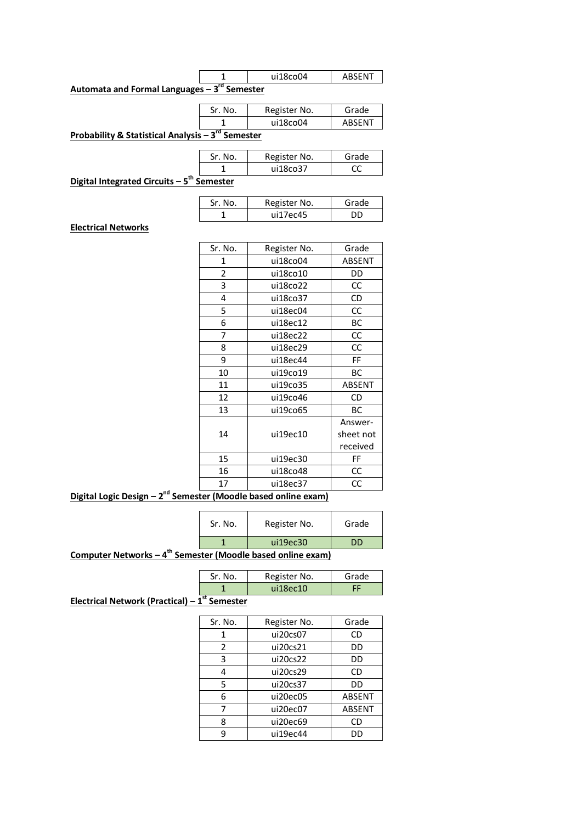|                                               | ui18co04 | ABSENT |
|-----------------------------------------------|----------|--------|
| Automata and Formal Languages $-3rd$ Semester |          |        |

| Sr. No. | Register No. | Grade  |
|---------|--------------|--------|
|         | ui18co04     | ARSFNT |

**Probability & Statistical Analysis – 3 rd Semester**

| Sr. No. | Register No. | Grade |
|---------|--------------|-------|
|         | ui18co37     |       |

**Digital Integrated Circuits – 5 th Semester**

| Sr. No. | Register No. | Grade |
|---------|--------------|-------|
|         | ui17ec45     |       |

#### **Electrical Networks**

| Sr. No. | Register No. | Grade         |
|---------|--------------|---------------|
| 1       | ui18co04     | ABSENT        |
| 2       | ui18co10     | DD            |
| 3       | ui18co22     | CC            |
| 4       | ui18co37     | CD            |
| 5       | ui18ec04     | CC            |
| 6       | ui18ec12     | ВC            |
| 7       | ui18ec22     | CC            |
| 8       | ui18ec29     | CC            |
| 9       | ui18ec44     | FF            |
| 10      | ui19co19     | ВC            |
| 11      | ui19co35     | <b>ABSENT</b> |
| 12      | ui19co46     | CD            |
| 13      | ui19co65     | ВC            |
|         |              | Answer-       |
| 14      | ui19ec10     | sheet not     |
|         |              | received      |
| 15      | ui19ec30     | FF            |
| 16      | ui18co48     | CC            |
| 17      | ui18ec37     | CC            |
|         |              |               |

**Digital Logic Design - 2<sup>nd</sup> Semester (Moodle based online exam)** 

|                                                                          | Sr. No. | Register No. | Grade |  |  |
|--------------------------------------------------------------------------|---------|--------------|-------|--|--|
|                                                                          |         | ui19ec30     | DD    |  |  |
| Computer Networks $-4$ <sup>th</sup> Semester (Moodle based online exam) |         |              |       |  |  |

| Grade | Register No. | Sr. No. |
|-------|--------------|---------|
|       | $113$ ec10   |         |

**Electrical Network (Practical) – 1 st Semester**

| Sr. No. | Register No. | Grade         |
|---------|--------------|---------------|
| 1       | ui20cs07     | CD            |
| 2       | ui20cs21     | DD            |
| 3       | ui20cs22     | DD            |
| 4       | ui20cs29     | CD            |
| 5       | ui20cs37     | DD            |
| 6       | ui20ec05     | ABSENT        |
|         | ui20ec07     | <b>ABSENT</b> |
| 8       | ui20ec69     | CD            |
|         | ui19ec44     |               |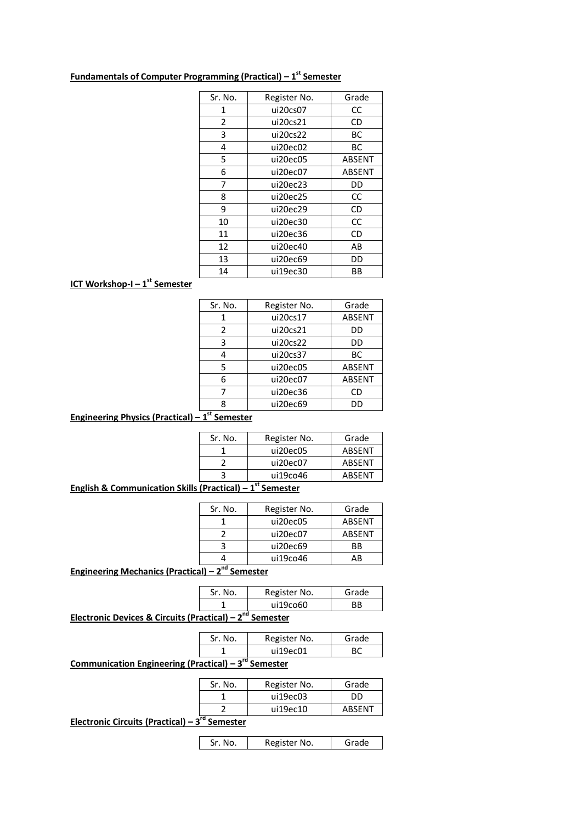| Sr. No. | Register No. | Grade  |
|---------|--------------|--------|
| 1       | ui20cs07     | CC     |
| 2       | ui20cs21     | CD     |
| 3       | ui20cs22     | BС     |
| 4       | ui20ec02     | BС     |
| 5       | ui20ec05     | ABSENT |
| 6       | ui20ec07     | ABSENT |
| 7       | ui20ec23     | DD     |
| 8       | ui20ec25     | CC     |
| ٩       | ui20ec29     | CD     |
| 10      | ui20ec30     | CC     |
| 11      | ui20ec36     | CD     |
| 12      | ui20ec40     | AB     |
| 13      | ui20ec69     | DD     |
| 14      | ui19ec30     | ВB     |

### **Fundamentals of Computer Programming (Practical) – 1 st Semester**

### **ICT Workshop-I – 1 st Semester**

| Sr. No.       | Register No. | Grade  |
|---------------|--------------|--------|
|               | ui20cs17     | ABSENT |
| $\mathcal{P}$ | ui20cs21     | DD     |
| 3             | ui20cs22     | DD     |
| 4             | ui20cs37     | ВC     |
| 5             | ui20ec05     | ABSENT |
| 6             | ui20ec07     | ABSENT |
|               | ui20ec36     | CD     |
| ጸ             | ui20ec69     | DD     |
|               |              |        |

# **Engineering Physics (Practical) – 1 st Semester**

| Register No. | Grade  |
|--------------|--------|
| ui20ec05     | ABSENT |
| ui20ec07     | ABSENT |
| ui19co46     | ABSENT |
|              |        |

# **English & Communication Skills (Practical) – 1 st Semester**

| Sr. No. | Register No. | Grade     |
|---------|--------------|-----------|
|         | ui20ec05     | ABSENT    |
|         | ui20ec07     | ABSENT    |
|         | ui20ec69     | <b>BB</b> |
|         | ui19co46     | ΔR        |
|         |              |           |

**Engineering Mechanics (Practical) – 2 nd Semester**

|   | Sr. No. | Register No. | Grade |
|---|---------|--------------|-------|
|   |         | ui19co60     |       |
| . |         |              |       |

**Electronic Devices & Circuits (Practical) – 2 nd Semester**

| Sr. No. | Register No. | Grade |
|---------|--------------|-------|
|         | ui19ec01     |       |

**Communication Engineering (Practical) – 3 rd Semester**

| Sr. No. | Register No. | Grade  |
|---------|--------------|--------|
|         | ui19ec03     | חח     |
|         | ui19ec10     | ABSENT |
|         |              |        |

**Electronic Circuits (Practical) – 3 rd Semester**

Sr. No. Register No. Grade